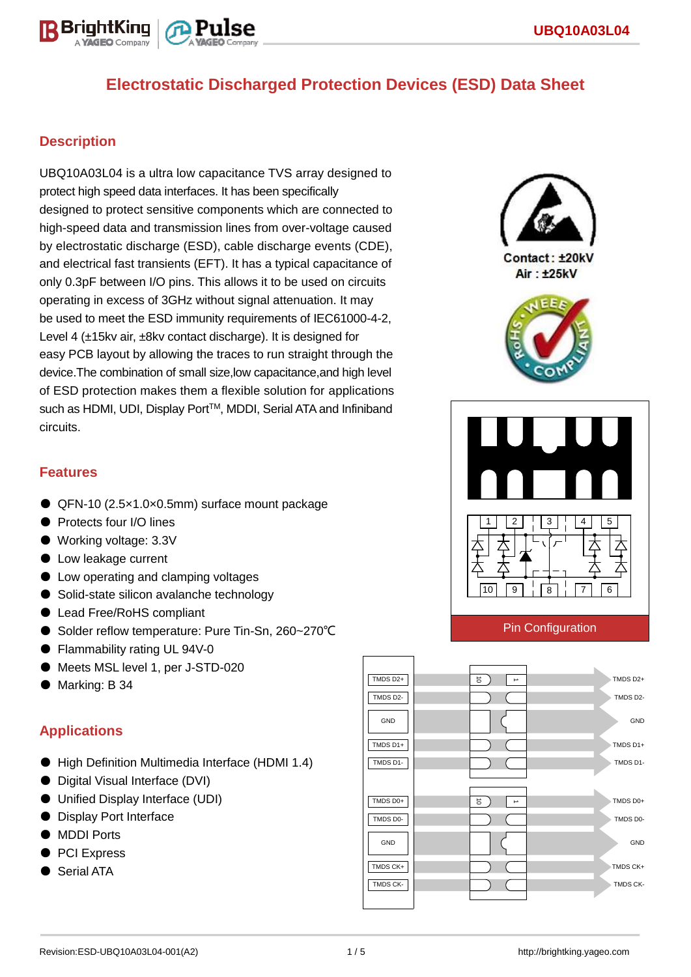

## **Description**

UBQ10A03L04 is a ultra low capacitance TVS array designed to protect high speed data interfaces. It has been specifically designed to protect sensitive components which are connected to high-speed data and transmission lines from over-voltage caused by electrostatic discharge (ESD), cable discharge events (CDE), and electrical fast transients (EFT). It has a typical capacitance of only 0.3pF between I/O pins. This allows it to be used on circuits operating in excess of 3GHz without signal attenuation. It may be used to meet the ESD immunity requirements of IEC61000-4-2, Level 4 (±15kv air, ±8kv contact discharge). It is designed for easy PCB layout by allowing the traces to run straight through the device.The combination of small size,low capacitance,and high level of ESD protection makes them a flexible solution for applications such as HDMI, UDI, Display Port™, MDDI, Serial ATA and Infiniband circuits.



Contact: +20kV Air: ±25kV





#### Pin Configuration



#### **Features**

- QFN-10 (2.5×1.0×0.5mm) surface mount package
- **Protects four I/O lines**
- Working voltage: 3.3V
- Low leakage current
- Low operating and clamping voltages
- Solid-state silicon avalanche technology
- Lead Free/RoHS compliant
- Solder reflow temperature: Pure Tin-Sn, 260~270°C
- Flammability rating UL 94V-0
- Meets MSL level 1, per J-STD-020
- Marking: B 34

### **Applications**

- High Definition Multimedia Interface (HDMI 1.4)
- Digital Visual Interface (DVI)
- Unified Display Interface (UDI)
- Display Port Interface
- MDDI Ports
- PCI Express
- Serial ATA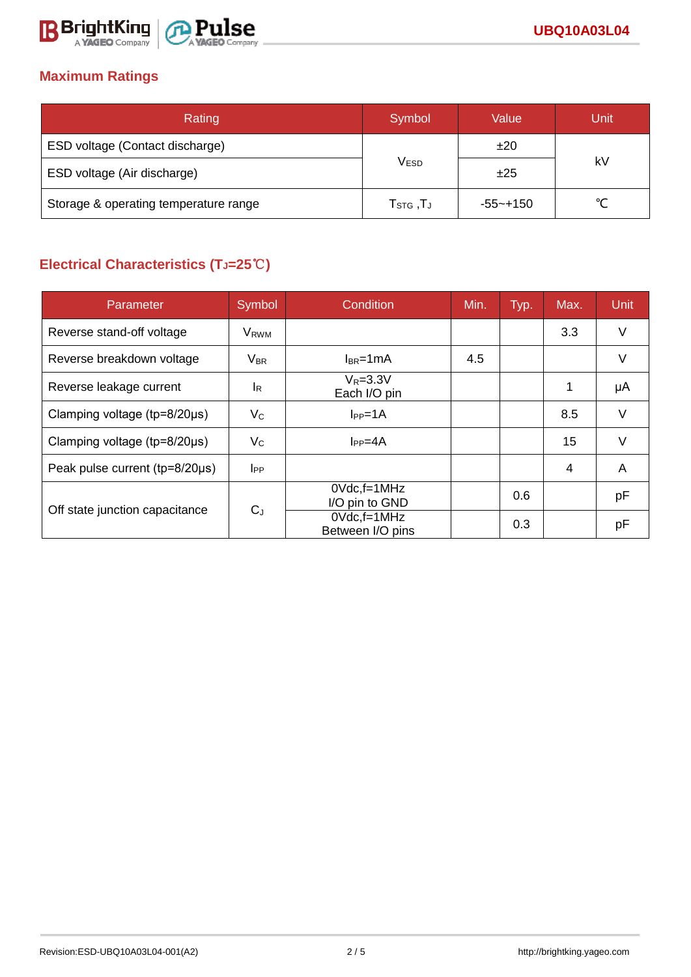

## **Maximum Ratings**

| Rating                                | Symbol                                                 | Value        | Unit   |  |
|---------------------------------------|--------------------------------------------------------|--------------|--------|--|
| ESD voltage (Contact discharge)       |                                                        | ±20          | kV     |  |
| ESD voltage (Air discharge)           | <b>VESD</b>                                            | ±25          |        |  |
| Storage & operating temperature range | $\mathsf{T}_{\texttt{STG}}\,, \mathsf{T}_{\texttt{J}}$ | $-55 - +150$ | $\sim$ |  |

# **Electrical Characteristics (TJ=25**℃**)**

| Parameter                              | Symbol                  | <b>Condition</b><br>Min.            |     | Typ. | Max. | <b>Unit</b> |
|----------------------------------------|-------------------------|-------------------------------------|-----|------|------|-------------|
| Reverse stand-off voltage              | <b>V</b> <sub>RWM</sub> |                                     |     |      | 3.3  | V           |
| Reverse breakdown voltage              | $V_{BR}$                | $I_{BR}$ =1mA                       | 4.5 |      |      | V           |
| Reverse leakage current                | <b>l</b> <sub>R</sub>   | $V_R = 3.3V$<br>Each I/O pin        |     |      | 1    | μA          |
| Clamping voltage (tp=8/20µs)           | $V_C$                   | $I_{PP} = 1A$                       |     |      | 8.5  | V           |
| Clamping voltage ( $tp = 8/20 \mu s$ ) | $V_C$                   | $I_{PP} = 4A$                       |     |      | 15   | V           |
| Peak pulse current (tp=8/20µs)         | $I_{PP}$                |                                     |     |      | 4    | A           |
| Off state junction capacitance         | $C_{J}$                 | $0Vdc$ , f=1MHz<br>I/O pin to GND   |     | 0.6  |      | pF          |
|                                        |                         | $0Vdc$ , f=1MHz<br>Between I/O pins |     | 0.3  |      | рF          |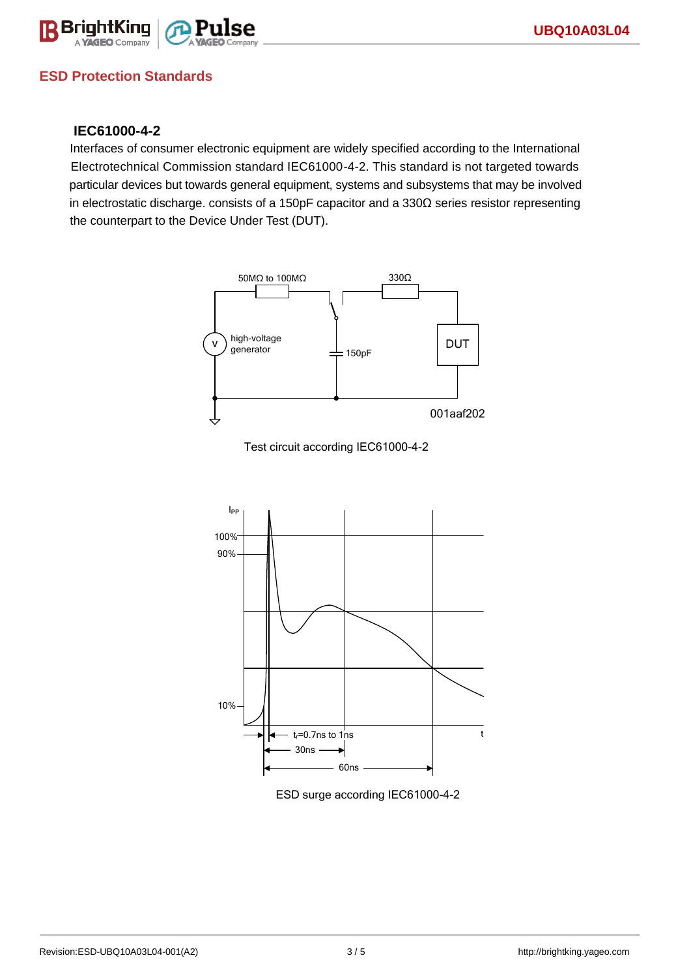

## **ESD Protection Standards**

#### **IEC61000-4-2**

Interfaces of consumer electronic equipment are widely specified according to the International Electrotechnical Commission standard IEC61000-4-2. This standard is not targeted towards particular devices but towards general equipment, systems and subsystems that may be involved in electrostatic discharge. consists of a 150pF capacitor and a 330Ω series resistor representing the counterpart to the Device Under Test (DUT).







ESD surge according IEC61000-4-2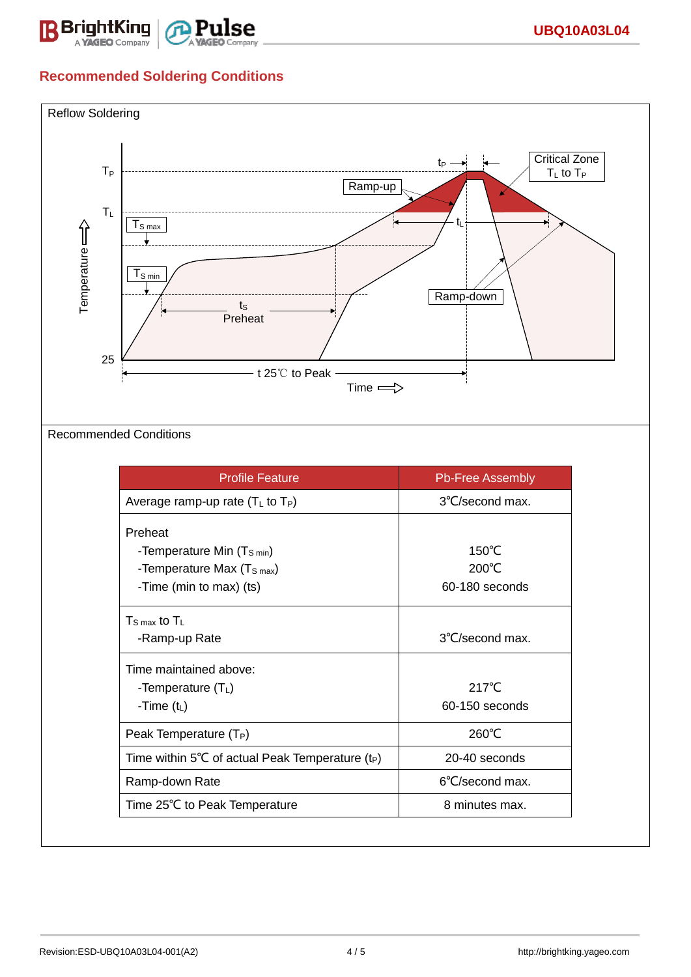

# **Recommended Soldering Conditions**